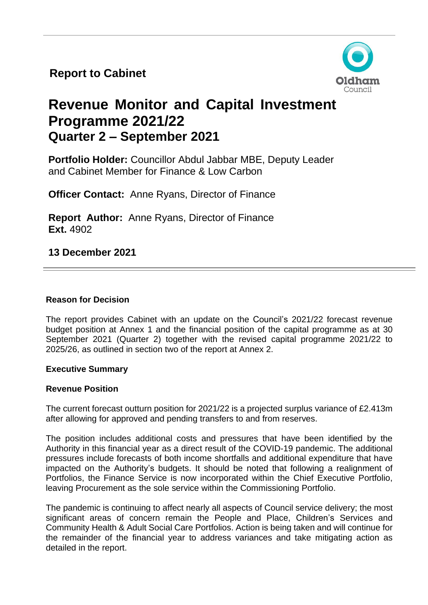**Report to Cabinet**



# **Revenue Monitor and Capital Investment Programme 2021/22 Quarter 2 – September 2021**

**Portfolio Holder:** Councillor Abdul Jabbar MBE, Deputy Leader and Cabinet Member for Finance & Low Carbon

**Officer Contact:** Anne Ryans, Director of Finance

**Report Author:** Anne Ryans, Director of Finance **Ext.** 4902

**13 December 2021**

#### **Reason for Decision**

The report provides Cabinet with an update on the Council's 2021/22 forecast revenue budget position at Annex 1 and the financial position of the capital programme as at 30 September 2021 (Quarter 2) together with the revised capital programme 2021/22 to 2025/26, as outlined in section two of the report at Annex 2.

#### **Executive Summary**

#### **Revenue Position**

The current forecast outturn position for 2021/22 is a projected surplus variance of £2.413m after allowing for approved and pending transfers to and from reserves.

The position includes additional costs and pressures that have been identified by the Authority in this financial year as a direct result of the COVID-19 pandemic. The additional pressures include forecasts of both income shortfalls and additional expenditure that have impacted on the Authority's budgets. It should be noted that following a realignment of Portfolios, the Finance Service is now incorporated within the Chief Executive Portfolio, leaving Procurement as the sole service within the Commissioning Portfolio.

The pandemic is continuing to affect nearly all aspects of Council service delivery; the most significant areas of concern remain the People and Place, Children's Services and Community Health & Adult Social Care Portfolios. Action is being taken and will continue for the remainder of the financial year to address variances and take mitigating action as detailed in the report.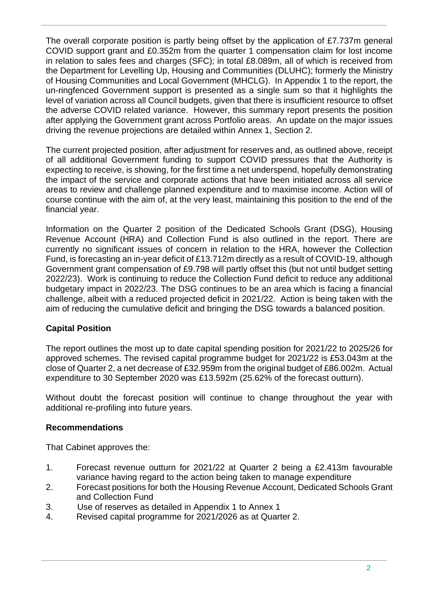The overall corporate position is partly being offset by the application of £7.737m general COVID support grant and £0.352m from the quarter 1 compensation claim for lost income in relation to sales fees and charges (SFC); in total £8.089m, all of which is received from the Department for Levelling Up, Housing and Communities (DLUHC); formerly the Ministry of Housing Communities and Local Government (MHCLG). In Appendix 1 to the report, the un-ringfenced Government support is presented as a single sum so that it highlights the level of variation across all Council budgets, given that there is insufficient resource to offset the adverse COVID related variance. However, this summary report presents the position after applying the Government grant across Portfolio areas. An update on the major issues driving the revenue projections are detailed within Annex 1, Section 2.

The current projected position, after adjustment for reserves and, as outlined above, receipt of all additional Government funding to support COVID pressures that the Authority is expecting to receive, is showing, for the first time a net underspend, hopefully demonstrating the impact of the service and corporate actions that have been initiated across all service areas to review and challenge planned expenditure and to maximise income. Action will of course continue with the aim of, at the very least, maintaining this position to the end of the financial year.

Information on the Quarter 2 position of the Dedicated Schools Grant (DSG), Housing Revenue Account (HRA) and Collection Fund is also outlined in the report. There are currently no significant issues of concern in relation to the HRA, however the Collection Fund, is forecasting an in-year deficit of £13.712m directly as a result of COVID-19, although Government grant compensation of £9.798 will partly offset this (but not until budget setting 2022/23). Work is continuing to reduce the Collection Fund deficit to reduce any additional budgetary impact in 2022/23. The DSG continues to be an area which is facing a financial challenge, albeit with a reduced projected deficit in 2021/22. Action is being taken with the aim of reducing the cumulative deficit and bringing the DSG towards a balanced position.

# **Capital Position**

The report outlines the most up to date capital spending position for 2021/22 to 2025/26 for approved schemes. The revised capital programme budget for 2021/22 is £53.043m at the close of Quarter 2, a net decrease of £32.959m from the original budget of £86.002m. Actual expenditure to 30 September 2020 was £13.592m (25.62% of the forecast outturn).

Without doubt the forecast position will continue to change throughout the year with additional re-profiling into future years.

# **Recommendations**

That Cabinet approves the:

- 1. Forecast revenue outturn for 2021/22 at Quarter 2 being a £2.413m favourable variance having regard to the action being taken to manage expenditure
- 2. Forecast positions for both the Housing Revenue Account, Dedicated Schools Grant and Collection Fund
- 3. Use of reserves as detailed in Appendix 1 to Annex 1
- 4. Revised capital programme for 2021/2026 as at Quarter 2.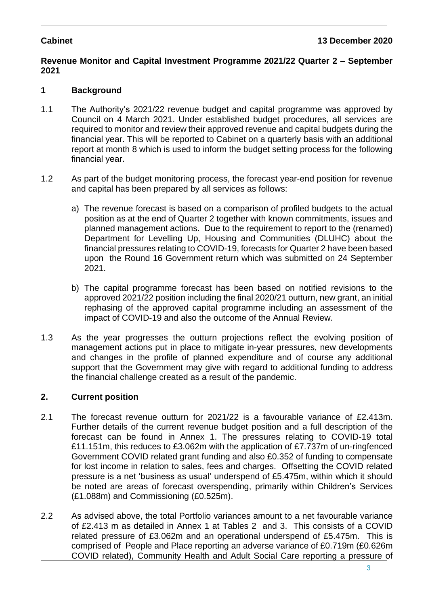### **Revenue Monitor and Capital Investment Programme 2021/22 Quarter 2 – September 2021**

# **1 Background**

- 1.1 The Authority's 2021/22 revenue budget and capital programme was approved by Council on 4 March 2021. Under established budget procedures, all services are required to monitor and review their approved revenue and capital budgets during the financial year. This will be reported to Cabinet on a quarterly basis with an additional report at month 8 which is used to inform the budget setting process for the following financial year.
- 1.2 As part of the budget monitoring process, the forecast year-end position for revenue and capital has been prepared by all services as follows:
	- a) The revenue forecast is based on a comparison of profiled budgets to the actual position as at the end of Quarter 2 together with known commitments, issues and planned management actions. Due to the requirement to report to the (renamed) Department for Levelling Up, Housing and Communities (DLUHC) about the financial pressures relating to COVID-19, forecasts for Quarter 2 have been based upon the Round 16 Government return which was submitted on 24 September 2021.
	- b) The capital programme forecast has been based on notified revisions to the approved 2021/22 position including the final 2020/21 outturn, new grant, an initial rephasing of the approved capital programme including an assessment of the impact of COVID-19 and also the outcome of the Annual Review.
- 1.3 As the year progresses the outturn projections reflect the evolving position of management actions put in place to mitigate in-year pressures, new developments and changes in the profile of planned expenditure and of course any additional support that the Government may give with regard to additional funding to address the financial challenge created as a result of the pandemic.

# **2. Current position**

- 2.1 The forecast revenue outturn for 2021/22 is a favourable variance of £2.413m. Further details of the current revenue budget position and a full description of the forecast can be found in Annex 1. The pressures relating to COVID-19 total £11.151m, this reduces to £3.062m with the application of £7.737m of un-ringfenced Government COVID related grant funding and also £0.352 of funding to compensate for lost income in relation to sales, fees and charges. Offsetting the COVID related pressure is a net 'business as usual' underspend of £5.475m, within which it should be noted are areas of forecast overspending, primarily within Children's Services (£1.088m) and Commissioning (£0.525m).
- 2.2 As advised above, the total Portfolio variances amount to a net favourable variance of £2.413 m as detailed in Annex 1 at Tables 2 and 3. This consists of a COVID related pressure of £3.062m and an operational underspend of £5.475m. This is comprised of People and Place reporting an adverse variance of £0.719m (£0.626m COVID related), Community Health and Adult Social Care reporting a pressure of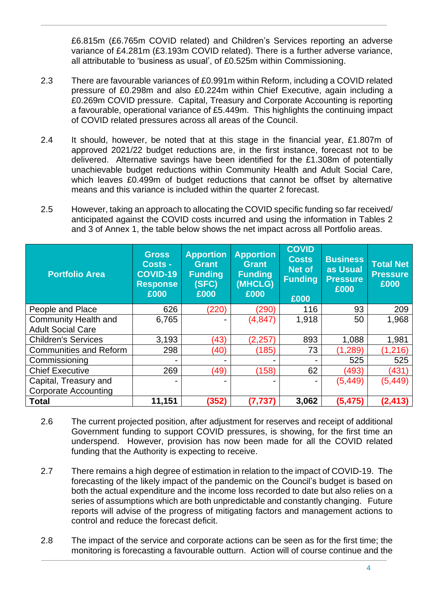£6.815m (£6.765m COVID related) and Children's Services reporting an adverse variance of £4.281m (£3.193m COVID related). There is a further adverse variance, all attributable to 'business as usual', of £0.525m within Commissioning.

- 2.3 There are favourable variances of £0.991m within Reform, including a COVID related pressure of £0.298m and also £0.224m within Chief Executive, again including a £0.269m COVID pressure. Capital, Treasury and Corporate Accounting is reporting a favourable, operational variance of £5.449m. This highlights the continuing impact of COVID related pressures across all areas of the Council.
- 2.4 It should, however, be noted that at this stage in the financial year, £1.807m of approved 2021/22 budget reductions are, in the first instance, forecast not to be delivered. Alternative savings have been identified for the £1.308m of potentially unachievable budget reductions within Community Health and Adult Social Care, which leaves £0.499m of budget reductions that cannot be offset by alternative means and this variance is included within the quarter 2 forecast.
- 2.5 However, taking an approach to allocating the COVID specific funding so far received/ anticipated against the COVID costs incurred and using the information in Tables 2 and 3 of Annex 1, the table below shows the net impact across all Portfolio areas.

| <b>Portfolio Area</b>         | <b>Gross</b><br><b>Costs -</b><br><b>COVID-19</b><br><b>Response</b><br>£000 | <b>Apportion</b><br><b>Grant</b><br><b>Funding</b><br>(SFC)<br>£000 | <b>Apportion</b><br><b>Grant</b><br>Funding<br>(MHCLG)<br>£000 | <b>COVID</b><br><b>Costs</b><br>Net of<br><b>Funding</b><br>£000 | <b>Business</b><br>as Usual<br><b>Pressure</b><br>£000 | <b>Total Net</b><br><b>Pressure</b><br>£000 |
|-------------------------------|------------------------------------------------------------------------------|---------------------------------------------------------------------|----------------------------------------------------------------|------------------------------------------------------------------|--------------------------------------------------------|---------------------------------------------|
| People and Place              | 626                                                                          | (220)                                                               | (290)                                                          | 116                                                              | 93                                                     | 209                                         |
| <b>Community Health and</b>   | 6,765                                                                        | -                                                                   | (4, 847)                                                       | 1,918                                                            | 50                                                     | 1,968                                       |
| <b>Adult Social Care</b>      |                                                                              |                                                                     |                                                                |                                                                  |                                                        |                                             |
| <b>Children's Services</b>    | 3,193                                                                        | (43)                                                                | (2, 257)                                                       | 893                                                              | 1,088                                                  | 1,981                                       |
| <b>Communities and Reform</b> | 298                                                                          | (40)                                                                | (185)                                                          | 73                                                               | (1, 289)                                               | (1, 216)                                    |
| Commissioning                 |                                                                              | ٠                                                                   |                                                                |                                                                  | 525                                                    | 525                                         |
| <b>Chief Executive</b>        | 269                                                                          | (49)                                                                | (158)                                                          | 62                                                               | (493)                                                  | (431)                                       |
| Capital, Treasury and         |                                                                              |                                                                     |                                                                | -                                                                | (5, 449)                                               | (5, 449)                                    |
| <b>Corporate Accounting</b>   |                                                                              |                                                                     |                                                                |                                                                  |                                                        |                                             |
| <b>Total</b>                  | 11,151                                                                       | (352)                                                               | (7, 737)                                                       | 3,062                                                            | (5, 475)                                               | (2, 413)                                    |

- 2.6 The current projected position, after adjustment for reserves and receipt of additional Government funding to support COVID pressures, is showing, for the first time an underspend. However, provision has now been made for all the COVID related funding that the Authority is expecting to receive.
- 2.7 There remains a high degree of estimation in relation to the impact of COVID-19. The forecasting of the likely impact of the pandemic on the Council's budget is based on both the actual expenditure and the income loss recorded to date but also relies on a series of assumptions which are both unpredictable and constantly changing. Future reports will advise of the progress of mitigating factors and management actions to control and reduce the forecast deficit.
- 2.8 The impact of the service and corporate actions can be seen as for the first time; the monitoring is forecasting a favourable outturn. Action will of course continue and the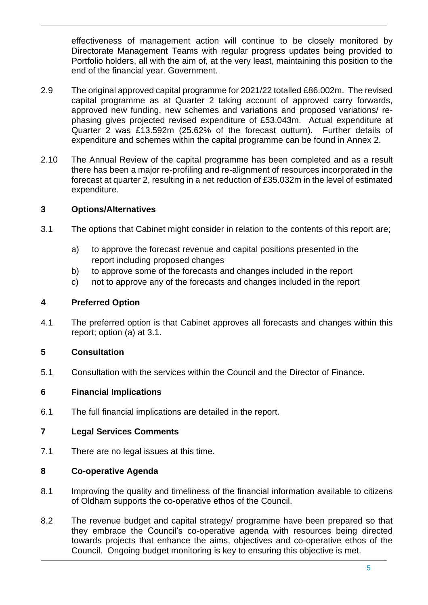effectiveness of management action will continue to be closely monitored by Directorate Management Teams with regular progress updates being provided to Portfolio holders, all with the aim of, at the very least, maintaining this position to the end of the financial year. Government.

- 2.9 The original approved capital programme for 2021/22 totalled £86.002m. The revised capital programme as at Quarter 2 taking account of approved carry forwards, approved new funding, new schemes and variations and proposed variations/ rephasing gives projected revised expenditure of £53.043m. Actual expenditure at Quarter 2 was £13.592m (25.62% of the forecast outturn). Further details of expenditure and schemes within the capital programme can be found in Annex 2.
- 2.10 The Annual Review of the capital programme has been completed and as a result there has been a major re-profiling and re-alignment of resources incorporated in the forecast at quarter 2, resulting in a net reduction of £35.032m in the level of estimated expenditure.

#### **3 Options/Alternatives**

- 3.1 The options that Cabinet might consider in relation to the contents of this report are;
	- a) to approve the forecast revenue and capital positions presented in the report including proposed changes
	- b) to approve some of the forecasts and changes included in the report
	- c) not to approve any of the forecasts and changes included in the report

#### **4 Preferred Option**

4.1 The preferred option is that Cabinet approves all forecasts and changes within this report; option (a) at 3.1.

### **5 Consultation**

5.1 Consultation with the services within the Council and the Director of Finance.

#### **6 Financial Implications**

6.1 The full financial implications are detailed in the report.

### **7 Legal Services Comments**

7.1 There are no legal issues at this time.

#### **8 Co-operative Agenda**

- 8.1 Improving the quality and timeliness of the financial information available to citizens of Oldham supports the co-operative ethos of the Council.
- 8.2 The revenue budget and capital strategy/ programme have been prepared so that they embrace the Council's co-operative agenda with resources being directed towards projects that enhance the aims, objectives and co-operative ethos of the Council. Ongoing budget monitoring is key to ensuring this objective is met.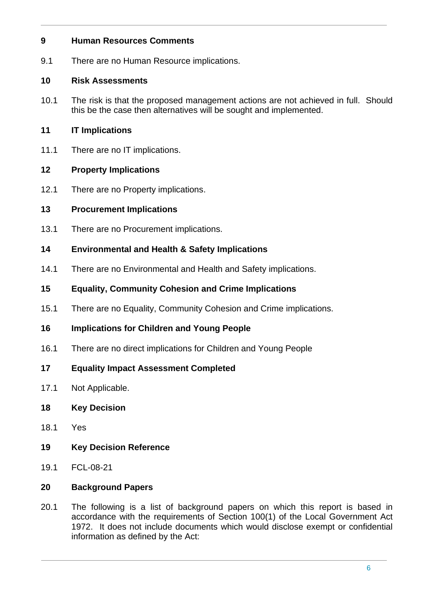### **9 Human Resources Comments**

9.1 There are no Human Resource implications.

## **10 Risk Assessments**

10.1 The risk is that the proposed management actions are not achieved in full. Should this be the case then alternatives will be sought and implemented.

# **11 IT Implications**

11.1 There are no IT implications.

# **12 Property Implications**

12.1 There are no Property implications.

# **13 Procurement Implications**

13.1 There are no Procurement implications.

# **14 Environmental and Health & Safety Implications**

14.1 There are no Environmental and Health and Safety implications.

# **15 Equality, Community Cohesion and Crime Implications**

15.1 There are no Equality, Community Cohesion and Crime implications.

# **16 Implications for Children and Young People**

- 16.1 There are no direct implications for Children and Young People
- **17 Equality Impact Assessment Completed**
- 17.1 Not Applicable.

# **18 Key Decision**

- 18.1 Yes
- **19 Key Decision Reference**
- 19.1 FCL-08-21

# **20 Background Papers**

20.1 The following is a list of background papers on which this report is based in accordance with the requirements of Section 100(1) of the Local Government Act 1972. It does not include documents which would disclose exempt or confidential information as defined by the Act: